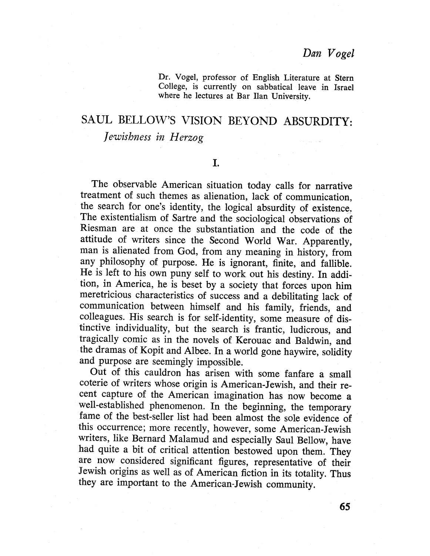### Dan Vogel

Dr. Vogel, professor of English Literature at Stern College, is currently on sabbatical leave in Israel where he lectures at Bar Ilan University.

# SAUL BELLOW'S VISION BEYOND ABSURDITY: Jewishness in Herzog

I.

The observable American situation today calls for narrative treatment of such themes as alienation, lack of communication, the search for one's identity, the logical absurdity of existence. The existentialism of Sartre and the sociological observations of Riesman are at once the substantiation and the code of the attitude of writers since the Second World War. Apparently, man is alienated from God, from any meaning in history, from any philosophy of purpose. He is ignorant, finite, and fallible. He is left to his own puny self to work out his destiny. In addition, in America, he is beset by a society that forces upon him meretricious characteristics of success and a debilitating lack of communication between himself and his family, friends, and colleagues. His search is for self-identity, some measure of distinctive individuality, but the search is frantic, ludicrous, and tragically comic as in the novels of Kerouac and Baldwin, and the dramas of Kopit and Albee. In a world gone haywire, solidity and purpose are seemingly impossible.

Out of this cauldron has arisen with some fanfare a small coterie of writers whose origin is American-Jewish, and their recent capture of the American imagination has now become a well-established phenomenon. In the beginning, the temporary fame of the best-seller list had been almost the sole evidence of this occurrence; more recently, however, some American-Jewish writers, like Bernard Malamud and especially Saul Bellow, have had quite a bit of critical attention bestowed upon them. They are now considered significant figures, representative of their Jewish origins as well as of American fiction in its totality. Thus they are important to the American-Jewish community.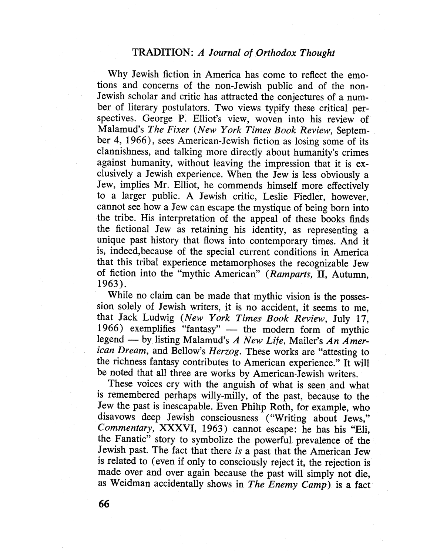Why Jewish fiction in America has come to reflect the emotions and concerns of the non-Jewish public and of the non-Jewish scholar and critic has attracted the conjectures of a number of literary postulators. Two views typify these critical perspectives. George P. Elliot's view, woven into his review of Malamud's The Fixer (New York Times Book Review, September 4, 1966), sees American-Jewish fiction as losing some of its clannishness, and talking more directly about humanity's crimes against humanity, without leaving the impression that it is exclusively a Jewish experience. When the Jew is less obviously a Jew, implies Mr. Ellot, he commends himself more effectively to a larger public. A Jewish critic, Leslie Fiedler, however, cannot see how a Jew can escape the mystique of being born into the tribe. His interpretation of the appeal of these books finds the fictional Jew as retaining his identity, as representing a unique past history that flows into contemporary times. And it is, indeed, because of the special current conditions in America that this tribal experience metamorphoses the recognizable Jew of fiction into the "mythic American" (Ramparts, II, Autumn, 1963) .

While no claim can be made that mythic vision is the possession solely of Jewish writers, it is no accident, it seems to me, that Jack Ludwig (New York Times Book Review, July 17, 1966) exemplifies "fantasy" - the modern form of mythic legend  $-$  by listing Malamud's A New Life, Mailer's An American Dream, and Bellow's Herzog. These works are "attesting to the richness fantasy contributes to American experience." It will be noted that all three are works by American-Jewish writers.

These voices cry with the anguish of what is seen, and what is remembered perhaps willy-milly, of the past, because to the Jew the past is inescapable. Even Philíp Roth, for example, who disavows deep Jewish consciousness ("Writing about Jews," Commentary, XXXVI, 1963) cannot escape: he has his "Eli, the Fanatic" story to symbolize the powerful prevalence of the Jewish past. The fact that there is a past that the American Jew is related to (even if only to consciously reject it, the rejection is made over and over again because the past will simply not die, as Weidman accidentally shows in The Enemy Camp) is a fact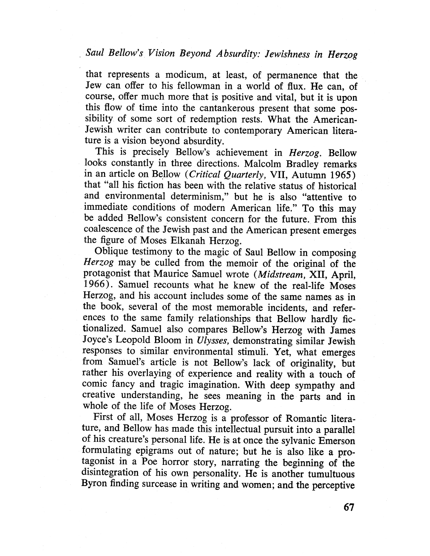## Saul Bellow's Vision Beyond Absurdity: Jewishness in Herzog

that represents a modicum, at least, of permanence that the Jew can offer to his fellowman in a world of flux. He can, of course, offer much more that is positive and vital, but it is upon this flow of time into the cantankerous present that some possibility of some sort of redemption rests. What the American-Jewish writer can contribute to contemporary American literature is a vision beyond absurdity.

This is precisely Bellow's achievement in Herzog. Bellow looks constantly in three directions. Malcolm Bradley remarks in an article on Bellow (Critical Quarterly, VII, Autumn 1965) that "all his fiction has been with the relative status of historical and environmental determinism," but he is also "attentive to immediate conditions of modern American life." To this may be added Bellow's consistent concern for the future. From this coalescence of the Jewish past and the American present emerges the figure of Moses Elkanah Herzog.

Oblique testimony to the magic of Saul Bellow in composing Herzog may be culled from the memoir of the original of the protagonist that Maurice Samuel wrote (Midstream, XII, April, 1966). Samuel recounts what he knew of the real-life Moses Herzog, and his account includes some of the same names as in the book, several of the most memorable incidents, and references to the same family relationships that Bellow hardly fictionalized. Samuel also compares Bellow's Herzog with James Joyce's Leopold Bloom in Ulysses, demonstrating similar Jewish responses to similar environmental stimuli. Yet, what emerges from Samuel's article is not Bellow's lack of originality, but rather his overlaying of experience and reality with a touch of comic fancy and tragic imagination. With deep sympathy and creative understanding, he sees meaning in the parts and in whole of the life of Moses Herzog.

First of all, Moses Herzog is a professor of Romantic literature, and Bellow has made this intellectual pursuit into a parallel of his creature's personal life. He is at once the sylvanic Emerson formulating epigrams out of nature; but he is also like a protagonist in a Poe horror story, narrating the beginning of the disintegration of his own personality. He is another tumultuous Byron finding surcease in writing and women; and the perceptive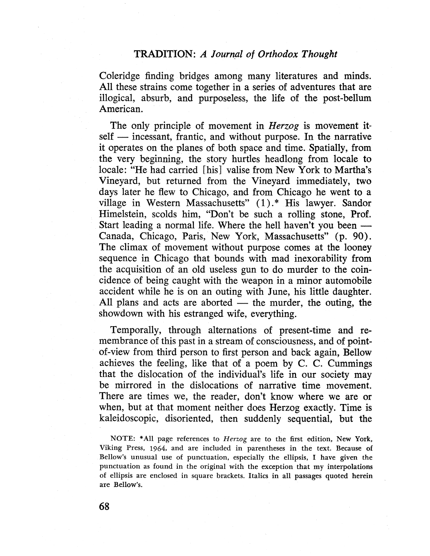### TRADITION: A Journal of Orthodox Thought

Coleridge finding bridges among many literatures and minds. All these strains come together in a series of adventures that are illogical, absurb, and purposeless, the life of the post-bellum American.

The only principle of movement in *Herzog* is movement itself - incessant, frantic, and without purpose. In the narrative it operates on the planes of both space and time. Spatially, from the very beginning, the story hurtles headlong from locale to locale: "He had carried (his) valise from New York to Martha's Vineyard, but returned from the Vineyard immediately, two days later he flew to Chicago, and from Chicago he went to a village in Western Massachusetts" (1).\* His lawyer. Sandor Himelstein, scolds him, "Don't be such a rolling stone, Prof. Start leading a normal life. Where the hell haven't you been  $-$ Canada, Chicago, Paris, New York, Massachusetts" (p. 90). The climax of movement without purpose comes at the looney sequence in Chicago that bounds with mad inexorabilty from the acquisition of an old useless gun to do murder to the coincidence of being caught with the weapon in a minor automobile accident while he is on an outing with June, his little daughter. All plans and acts are aborted  $-$  the murder, the outing, the showdown with his estranged wife, everything.

Temporally, through alternations of present-time and remembrance of this past in a stream of consciousness, and of pointof-view from third person to first person and back again, Bellow achieves the feeling, like that of a poem by C. C. Cummings that the dislocation of the individual's life in our society may be mirrored in the dislocations of narrative time movement. There are times we, the reader, don't know where we are or when, but at that moment neither does Herzog exactly. Time is kaleidoscopic, disoriented, then suddenly sequential, but the

NOTE: \*All page references to Herzog are to the first edition, New York, Viking Press, 1964, and are included in parentheses in the text. Because of Bellow's unusual use of punctuation, especially the ellpsis, I have given the punctuation as found in the original with the exception that my interpolations of ellpsis are enclosed in square brackets. Italics in all passages quoted herein are Bellow's.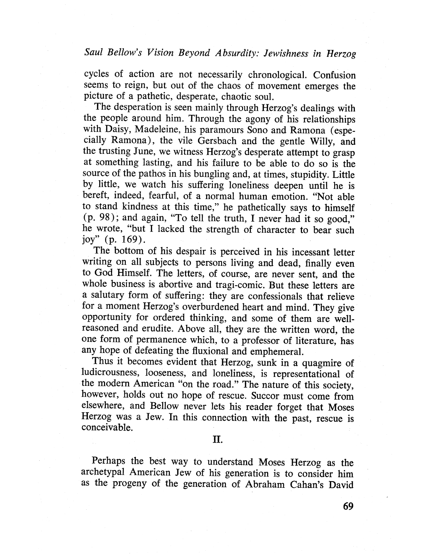cycles of action are not necessarily chronologicaL. Confusion seems to reign, but out of the chaos of movement emerges the picture of a pathetic, desperate, chaotic souL.

The desperation is seen mainly through Herzog's dealings with the people around him. Through the agony of his relationships with Daisy, Madeleine, his paramours Sono and Ramona (especially Ramona), the vile Gersbach and the gentle Wily, and the trusting June, we witness Herzog's desperate attempt to grasp at something lasting, and his failure to be able to do so is the source of the pathos in his bungling and, at times, stupidity. Little by little, we watch his suffering loneliness deepen until he is bereft, indeed, fearful, of a normal human emotion. "Not able to stand kindness at this time," he pathetically says to himself (p. 98); and again, "To tell the truth, I never had it so good," he wrote, "but I lacked the strength of character to bear such joy" (p. 169).

The bottom of his despair is perceived in his incessant letter writing on all subjects to persons living and dead, finally even to God Himself. The letters, of course, are never sent, and the whole business is abortive and tragi-comic. But these letters are a salutary form of suffering: they are confessionals that relieve for a moment Herzog's overburdened heart and mind. They give opportunity for ordered thinking, and some of them are wellreasoned and erudite. Above all, they are the written word, the one form of permanence which, to a professor of literature, has any hope of defeating the fluxional and emphemeral.

Thus it becomes evident that Herzog, sunk in a quagmire of ludicrousness, looseness, and loneliness, is representational of the modern American "on the road." The nature of this society, however, holds out no hope of rescue. Succor must come from elsewhere, and Bellow never lets his reader forget that Moses Herzog was a Jew. In this connection with the past, rescue is conceivable.

II.

Perhaps the best way to understand Moses Herzog as the archetypal American Jew of his generation is to consider him as the progeny of the generation of Abraham Cahan's David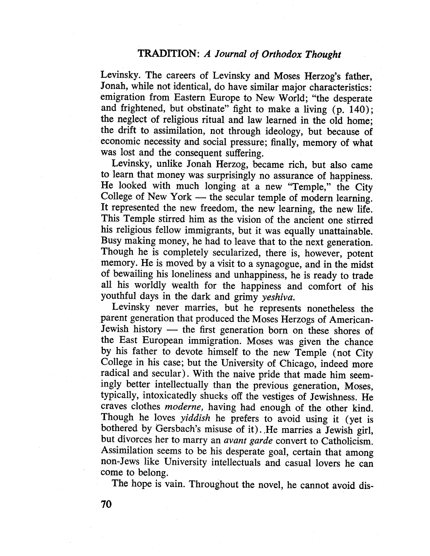Levinsky. The careers of Levinsky and Moses Herzog's father, Jonah, while not identical, do have similar major characteristics: emigration from Eastern Europe to New World; "the desperate and frightened, but obstinate" fight to make a living (p. 140); the neglect of religious ritual and law learned in the old home; the drift to assimilation, not through ideology, but because of economic necessity and social pressure; finally, memory of what was lost and the consequent suffering.

Levinsky, unlike Jonah Herzog, became rich, but also came to learn that money was surprisingly no assurance of happiness. He looked with much longing at a new "Temple," the City College of New York  $-$  the secular temple of modern learning. It represented the new freedom, the new learning, the new life. This Temple stirred him as the vision of the ancient one stirred his religious fellow immigrants, but it was equally unattainable. Busy making money, he had to leave that to the next generation. Though he is completely secularized, there is, however, potent memory. He is moved by a visit to a synagogue, and in the midst of bewailing his loneliness and unhappiness, he is ready to trade all his worldly wealth for the happiness and comfort of his youthful days in the dark and grimy yeshiva.

Levinsky never marries, but he represents nonetheless the parent generation that produced the Moses Herzogs of American-Jewish history - the first generation born on these shores of the East European immigration. Moses was given the chance by his father to devote himself to the new Temple (not City College in his case; but the University of Chicago, indeed more radical and secular). With the naive pride that made him seemingly better intellectually than the previous generation, Moses, typically, intoxicatedly shucks off the vestiges of Jewishness. He craves clothes moderne, having had enough of the other kind. Though he loves *yiddish* he prefers to avoid using it (yet is bothered by Gersbach's misuse of it). .He marries a Jewish girl, but dívorces her to marry an avant garde convert to Catholicism. Assimilation seems to be his desperate goal, certain that among non-Jews like University intellectuals and casual lovers he can come to belong.

The hope is vain. Throughout the novel, he cannot avoid dis-